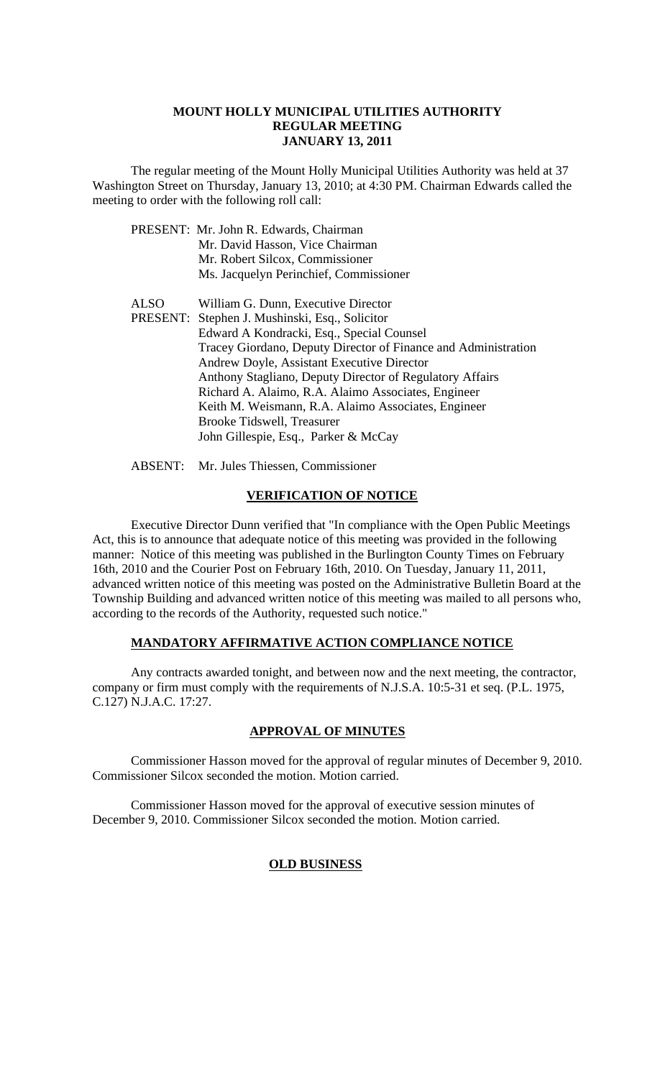#### **MOUNT HOLLY MUNICIPAL UTILITIES AUTHORITY REGULAR MEETING JANUARY 13, 2011**

 The regular meeting of the Mount Holly Municipal Utilities Authority was held at 37 Washington Street on Thursday, January 13, 2010; at 4:30 PM. Chairman Edwards called the meeting to order with the following roll call:

|             | PRESENT: Mr. John R. Edwards, Chairman                         |
|-------------|----------------------------------------------------------------|
|             | Mr. David Hasson, Vice Chairman                                |
|             | Mr. Robert Silcox, Commissioner                                |
|             | Ms. Jacquelyn Perinchief, Commissioner                         |
| <b>ALSO</b> | William G. Dunn, Executive Director                            |
|             | PRESENT: Stephen J. Mushinski, Esq., Solicitor                 |
|             | Edward A Kondracki, Esq., Special Counsel                      |
|             | Tracey Giordano, Deputy Director of Finance and Administration |
|             | Andrew Doyle, Assistant Executive Director                     |
|             | Anthony Stagliano, Deputy Director of Regulatory Affairs       |
|             | Richard A. Alaimo, R.A. Alaimo Associates, Engineer            |
|             | Keith M. Weismann, R.A. Alaimo Associates, Engineer            |
|             | Brooke Tidswell, Treasurer                                     |
|             | John Gillespie, Esq., Parker & McCay                           |
|             |                                                                |

ABSENT: Mr. Jules Thiessen, Commissioner

#### **VERIFICATION OF NOTICE**

 Executive Director Dunn verified that "In compliance with the Open Public Meetings Act, this is to announce that adequate notice of this meeting was provided in the following manner: Notice of this meeting was published in the Burlington County Times on February 16th, 2010 and the Courier Post on February 16th, 2010. On Tuesday, January 11, 2011, advanced written notice of this meeting was posted on the Administrative Bulletin Board at the Township Building and advanced written notice of this meeting was mailed to all persons who, according to the records of the Authority, requested such notice."

#### **MANDATORY AFFIRMATIVE ACTION COMPLIANCE NOTICE**

 Any contracts awarded tonight, and between now and the next meeting, the contractor, company or firm must comply with the requirements of N.J.S.A. 10:5-31 et seq. (P.L. 1975, C.127) N.J.A.C. 17:27.

#### **APPROVAL OF MINUTES**

Commissioner Hasson moved for the approval of regular minutes of December 9, 2010. Commissioner Silcox seconded the motion. Motion carried.

Commissioner Hasson moved for the approval of executive session minutes of December 9, 2010. Commissioner Silcox seconded the motion. Motion carried.

## **OLD BUSINESS**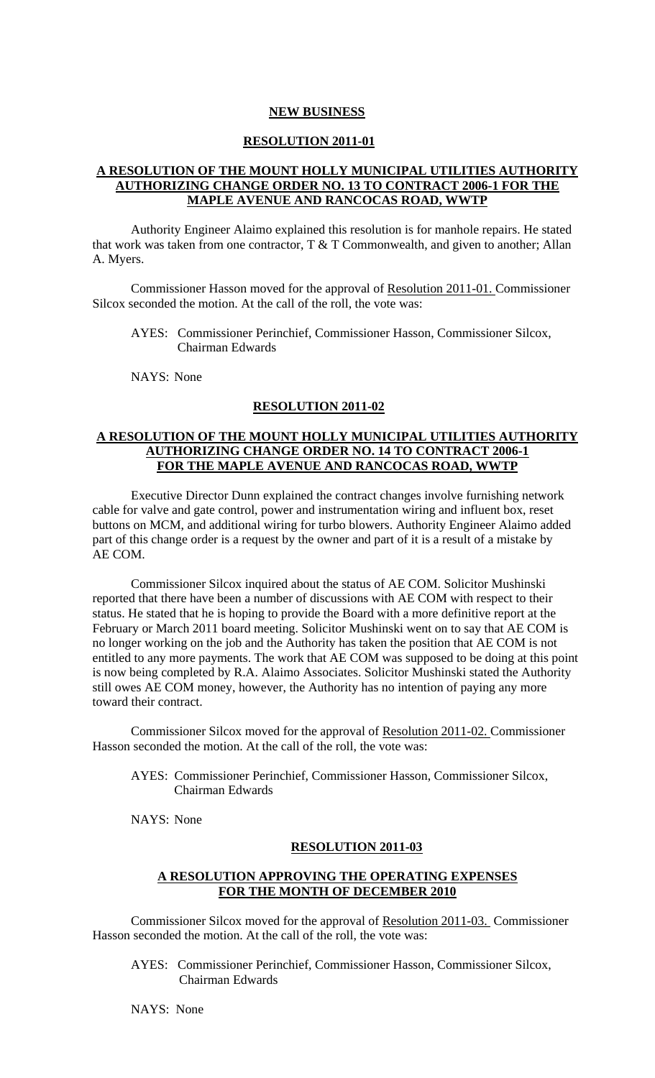#### **NEW BUSINESS**

#### **RESOLUTION 2011-01**

## **A RESOLUTION OF THE MOUNT HOLLY MUNICIPAL UTILITIES AUTHORITY AUTHORIZING CHANGE ORDER NO. 13 TO CONTRACT 2006-1 FOR THE MAPLE AVENUE AND RANCOCAS ROAD, WWTP**

Authority Engineer Alaimo explained this resolution is for manhole repairs. He stated that work was taken from one contractor, T & T Commonwealth, and given to another; Allan A. Myers.

 Commissioner Hasson moved for the approval of Resolution 2011-01. Commissioner Silcox seconded the motion. At the call of the roll, the vote was:

AYES: Commissioner Perinchief, Commissioner Hasson, Commissioner Silcox, Chairman Edwards

NAYS: None

## **RESOLUTION 2011-02**

### **A RESOLUTION OF THE MOUNT HOLLY MUNICIPAL UTILITIES AUTHORITY AUTHORIZING CHANGE ORDER NO. 14 TO CONTRACT 2006-1 FOR THE MAPLE AVENUE AND RANCOCAS ROAD, WWTP**

 Executive Director Dunn explained the contract changes involve furnishing network cable for valve and gate control, power and instrumentation wiring and influent box, reset buttons on MCM, and additional wiring for turbo blowers. Authority Engineer Alaimo added part of this change order is a request by the owner and part of it is a result of a mistake by AE COM.

 Commissioner Silcox inquired about the status of AE COM. Solicitor Mushinski reported that there have been a number of discussions with AE COM with respect to their status. He stated that he is hoping to provide the Board with a more definitive report at the February or March 2011 board meeting. Solicitor Mushinski went on to say that AE COM is no longer working on the job and the Authority has taken the position that AE COM is not entitled to any more payments. The work that AE COM was supposed to be doing at this point is now being completed by R.A. Alaimo Associates. Solicitor Mushinski stated the Authority still owes AE COM money, however, the Authority has no intention of paying any more toward their contract.

 Commissioner Silcox moved for the approval of Resolution 2011-02. Commissioner Hasson seconded the motion. At the call of the roll, the vote was:

AYES: Commissioner Perinchief, Commissioner Hasson, Commissioner Silcox, Chairman Edwards

NAYS: None

#### **RESOLUTION 2011-03**

#### **A RESOLUTION APPROVING THE OPERATING EXPENSES FOR THE MONTH OF DECEMBER 2010**

Commissioner Silcox moved for the approval of Resolution 2011-03. Commissioner Hasson seconded the motion. At the call of the roll, the vote was:

AYES: Commissioner Perinchief, Commissioner Hasson, Commissioner Silcox, Chairman Edwards

NAYS: None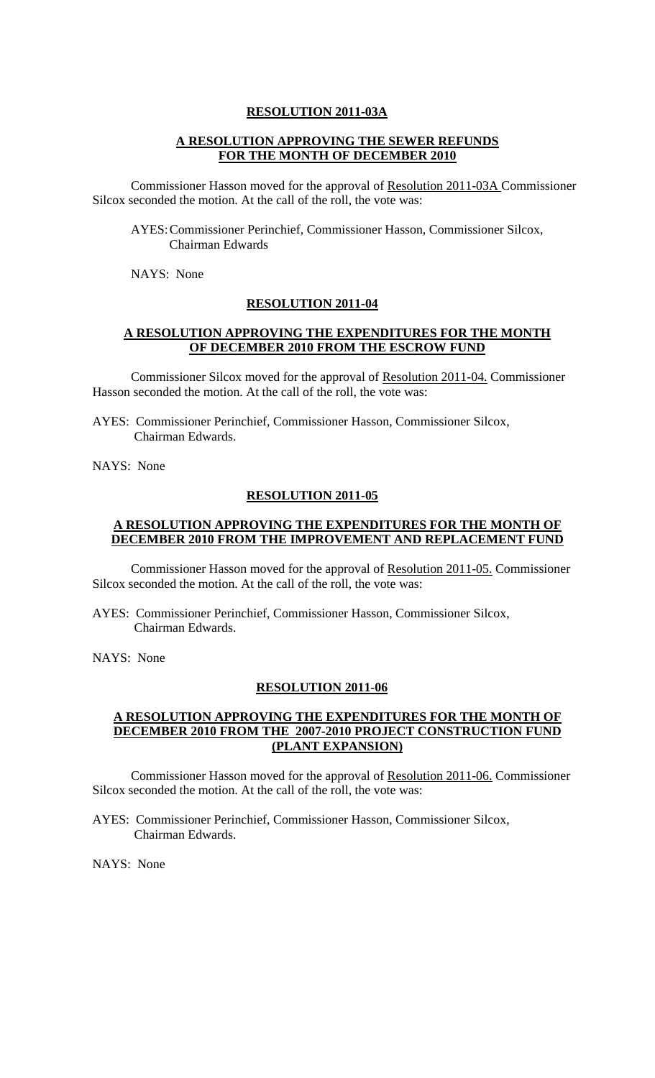#### **RESOLUTION 2011-03A**

## **A RESOLUTION APPROVING THE SEWER REFUNDS FOR THE MONTH OF DECEMBER 2010**

Commissioner Hasson moved for the approval of Resolution 2011-03A Commissioner Silcox seconded the motion. At the call of the roll, the vote was:

AYES: Commissioner Perinchief, Commissioner Hasson, Commissioner Silcox, Chairman Edwards

NAYS: None

#### **RESOLUTION 2011-04**

#### **A RESOLUTION APPROVING THE EXPENDITURES FOR THE MONTH OF DECEMBER 2010 FROM THE ESCROW FUND**

Commissioner Silcox moved for the approval of Resolution 2011-04. Commissioner Hasson seconded the motion. At the call of the roll, the vote was:

AYES: Commissioner Perinchief, Commissioner Hasson, Commissioner Silcox, Chairman Edwards.

NAYS: None

#### **RESOLUTION 2011-05**

### **A RESOLUTION APPROVING THE EXPENDITURES FOR THE MONTH OF DECEMBER 2010 FROM THE IMPROVEMENT AND REPLACEMENT FUND**

Commissioner Hasson moved for the approval of Resolution 2011-05. Commissioner Silcox seconded the motion. At the call of the roll, the vote was:

AYES: Commissioner Perinchief, Commissioner Hasson, Commissioner Silcox, Chairman Edwards.

NAYS: None

#### **RESOLUTION 2011-06**

## **A RESOLUTION APPROVING THE EXPENDITURES FOR THE MONTH OF DECEMBER 2010 FROM THE 2007-2010 PROJECT CONSTRUCTION FUND (PLANT EXPANSION)**

Commissioner Hasson moved for the approval of Resolution 2011-06. Commissioner Silcox seconded the motion. At the call of the roll, the vote was:

AYES: Commissioner Perinchief, Commissioner Hasson, Commissioner Silcox, Chairman Edwards.

NAYS: None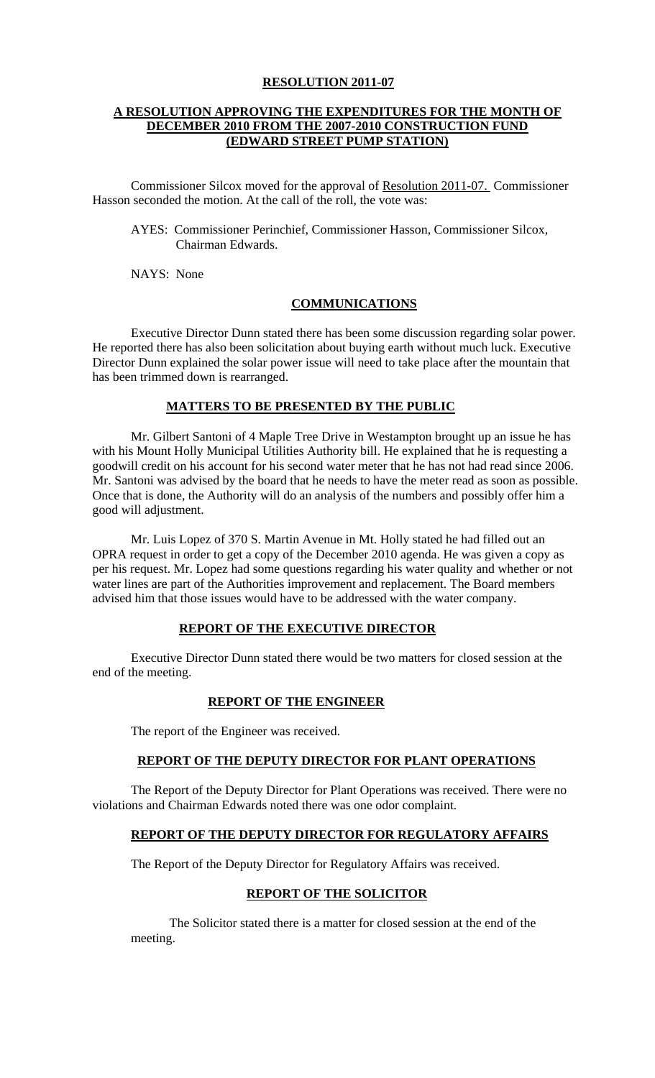### **RESOLUTION 2011-07**

### **A RESOLUTION APPROVING THE EXPENDITURES FOR THE MONTH OF DECEMBER 2010 FROM THE 2007-2010 CONSTRUCTION FUND (EDWARD STREET PUMP STATION)**

Commissioner Silcox moved for the approval of Resolution 2011-07. Commissioner Hasson seconded the motion. At the call of the roll, the vote was:

AYES: Commissioner Perinchief, Commissioner Hasson, Commissioner Silcox, Chairman Edwards.

NAYS: None

#### **COMMUNICATIONS**

 Executive Director Dunn stated there has been some discussion regarding solar power. He reported there has also been solicitation about buying earth without much luck. Executive Director Dunn explained the solar power issue will need to take place after the mountain that has been trimmed down is rearranged.

### **MATTERS TO BE PRESENTED BY THE PUBLIC**

 Mr. Gilbert Santoni of 4 Maple Tree Drive in Westampton brought up an issue he has with his Mount Holly Municipal Utilities Authority bill. He explained that he is requesting a goodwill credit on his account for his second water meter that he has not had read since 2006. Mr. Santoni was advised by the board that he needs to have the meter read as soon as possible. Once that is done, the Authority will do an analysis of the numbers and possibly offer him a good will adjustment.

 Mr. Luis Lopez of 370 S. Martin Avenue in Mt. Holly stated he had filled out an OPRA request in order to get a copy of the December 2010 agenda. He was given a copy as per his request. Mr. Lopez had some questions regarding his water quality and whether or not water lines are part of the Authorities improvement and replacement. The Board members advised him that those issues would have to be addressed with the water company.

## **REPORT OF THE EXECUTIVE DIRECTOR**

 Executive Director Dunn stated there would be two matters for closed session at the end of the meeting.

#### **REPORT OF THE ENGINEER**

The report of the Engineer was received.

## **REPORT OF THE DEPUTY DIRECTOR FOR PLANT OPERATIONS**

 The Report of the Deputy Director for Plant Operations was received. There were no violations and Chairman Edwards noted there was one odor complaint.

## **REPORT OF THE DEPUTY DIRECTOR FOR REGULATORY AFFAIRS**

The Report of the Deputy Director for Regulatory Affairs was received.

#### **REPORT OF THE SOLICITOR**

The Solicitor stated there is a matter for closed session at the end of the meeting.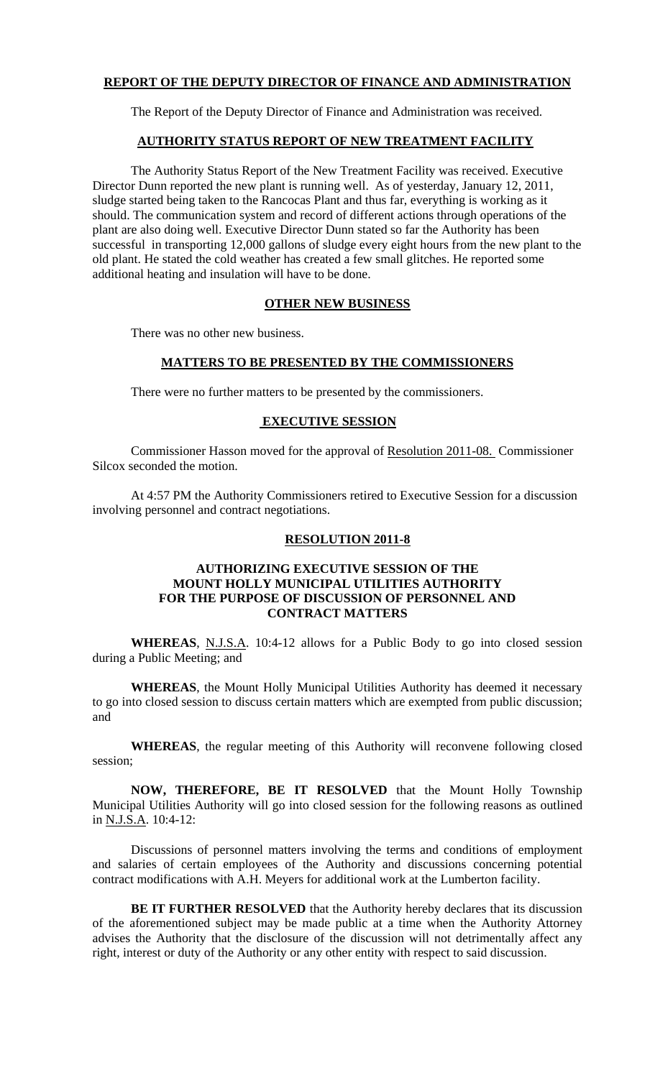## **REPORT OF THE DEPUTY DIRECTOR OF FINANCE AND ADMINISTRATION**

The Report of the Deputy Director of Finance and Administration was received.

## **AUTHORITY STATUS REPORT OF NEW TREATMENT FACILITY**

 The Authority Status Report of the New Treatment Facility was received. Executive Director Dunn reported the new plant is running well. As of yesterday, January 12, 2011, sludge started being taken to the Rancocas Plant and thus far, everything is working as it should. The communication system and record of different actions through operations of the plant are also doing well. Executive Director Dunn stated so far the Authority has been successful in transporting 12,000 gallons of sludge every eight hours from the new plant to the old plant. He stated the cold weather has created a few small glitches. He reported some additional heating and insulation will have to be done.

## **OTHER NEW BUSINESS**

There was no other new business.

## **MATTERS TO BE PRESENTED BY THE COMMISSIONERS**

There were no further matters to be presented by the commissioners.

## **EXECUTIVE SESSION**

 Commissioner Hasson moved for the approval of Resolution 2011-08. Commissioner Silcox seconded the motion.

 At 4:57 PM the Authority Commissioners retired to Executive Session for a discussion involving personnel and contract negotiations.

## **RESOLUTION 2011-8**

### **AUTHORIZING EXECUTIVE SESSION OF THE MOUNT HOLLY MUNICIPAL UTILITIES AUTHORITY FOR THE PURPOSE OF DISCUSSION OF PERSONNEL AND CONTRACT MATTERS**

**WHEREAS**, N.J.S.A. 10:4-12 allows for a Public Body to go into closed session during a Public Meeting; and

**WHEREAS**, the Mount Holly Municipal Utilities Authority has deemed it necessary to go into closed session to discuss certain matters which are exempted from public discussion; and

**WHEREAS**, the regular meeting of this Authority will reconvene following closed session;

**NOW, THEREFORE, BE IT RESOLVED** that the Mount Holly Township Municipal Utilities Authority will go into closed session for the following reasons as outlined in N.J.S.A. 10:4-12:

Discussions of personnel matters involving the terms and conditions of employment and salaries of certain employees of the Authority and discussions concerning potential contract modifications with A.H. Meyers for additional work at the Lumberton facility.

**BE IT FURTHER RESOLVED** that the Authority hereby declares that its discussion of the aforementioned subject may be made public at a time when the Authority Attorney advises the Authority that the disclosure of the discussion will not detrimentally affect any right, interest or duty of the Authority or any other entity with respect to said discussion.